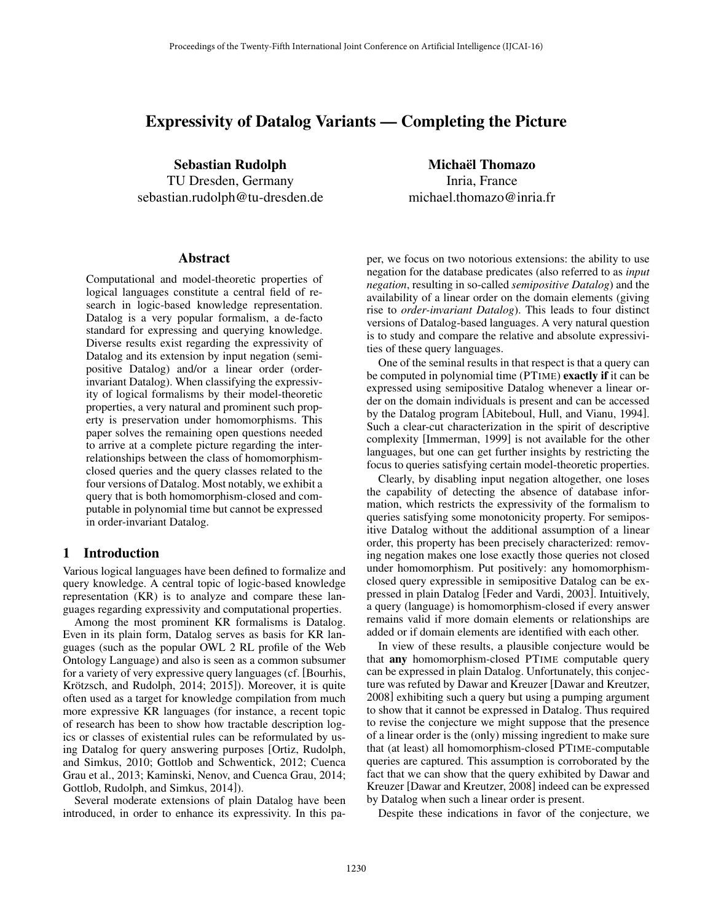# Expressivity of Datalog Variants — Completing the Picture

Sebastian Rudolph TU Dresden, Germany sebastian.rudolph@tu-dresden.de

#### Abstract

Computational and model-theoretic properties of logical languages constitute a central field of research in logic-based knowledge representation. Datalog is a very popular formalism, a de-facto standard for expressing and querying knowledge. Diverse results exist regarding the expressivity of Datalog and its extension by input negation (semipositive Datalog) and/or a linear order (orderinvariant Datalog). When classifying the expressivity of logical formalisms by their model-theoretic properties, a very natural and prominent such property is preservation under homomorphisms. This paper solves the remaining open questions needed to arrive at a complete picture regarding the interrelationships between the class of homomorphismclosed queries and the query classes related to the four versions of Datalog. Most notably, we exhibit a query that is both homomorphism-closed and computable in polynomial time but cannot be expressed in order-invariant Datalog.

## 1 Introduction

Various logical languages have been defined to formalize and query knowledge. A central topic of logic-based knowledge representation (KR) is to analyze and compare these languages regarding expressivity and computational properties.

Among the most prominent KR formalisms is Datalog. Even in its plain form, Datalog serves as basis for KR languages (such as the popular OWL 2 RL profile of the Web Ontology Language) and also is seen as a common subsumer for a variety of very expressive query languages (cf. [Bourhis, Krötzsch, and Rudolph, 2014; 2015]). Moreover, it is quite often used as a target for knowledge compilation from much more expressive KR languages (for instance, a recent topic of research has been to show how tractable description logics or classes of existential rules can be reformulated by using Datalog for query answering purposes [Ortiz, Rudolph, and Simkus, 2010; Gottlob and Schwentick, 2012; Cuenca Grau et al., 2013; Kaminski, Nenov, and Cuenca Grau, 2014; Gottlob, Rudolph, and Simkus, 2014]).

Several moderate extensions of plain Datalog have been introduced, in order to enhance its expressivity. In this pa-

Michaël Thomazo Inria, France michael.thomazo@inria.fr

per, we focus on two notorious extensions: the ability to use negation for the database predicates (also referred to as *input negation*, resulting in so-called *semipositive Datalog*) and the availability of a linear order on the domain elements (giving rise to *order-invariant Datalog*). This leads to four distinct versions of Datalog-based languages. A very natural question is to study and compare the relative and absolute expressivities of these query languages.

One of the seminal results in that respect is that a query can be computed in polynomial time (PTIME) exactly if it can be expressed using semipositive Datalog whenever a linear order on the domain individuals is present and can be accessed by the Datalog program [Abiteboul, Hull, and Vianu, 1994]. Such a clear-cut characterization in the spirit of descriptive complexity [Immerman, 1999] is not available for the other languages, but one can get further insights by restricting the focus to queries satisfying certain model-theoretic properties.

Clearly, by disabling input negation altogether, one loses the capability of detecting the absence of database information, which restricts the expressivity of the formalism to queries satisfying some monotonicity property. For semipositive Datalog without the additional assumption of a linear order, this property has been precisely characterized: removing negation makes one lose exactly those queries not closed under homomorphism. Put positively: any homomorphismclosed query expressible in semipositive Datalog can be expressed in plain Datalog [Feder and Vardi, 2003]. Intuitively, a query (language) is homomorphism-closed if every answer remains valid if more domain elements or relationships are added or if domain elements are identified with each other.

In view of these results, a plausible conjecture would be that any homomorphism-closed PTIME computable query can be expressed in plain Datalog. Unfortunately, this conjecture was refuted by Dawar and Kreuzer [Dawar and Kreutzer, 2008] exhibiting such a query but using a pumping argument to show that it cannot be expressed in Datalog. Thus required to revise the conjecture we might suppose that the presence of a linear order is the (only) missing ingredient to make sure that (at least) all homomorphism-closed PTIME-computable queries are captured. This assumption is corroborated by the fact that we can show that the query exhibited by Dawar and Kreuzer [Dawar and Kreutzer, 2008] indeed can be expressed by Datalog when such a linear order is present.

Despite these indications in favor of the conjecture, we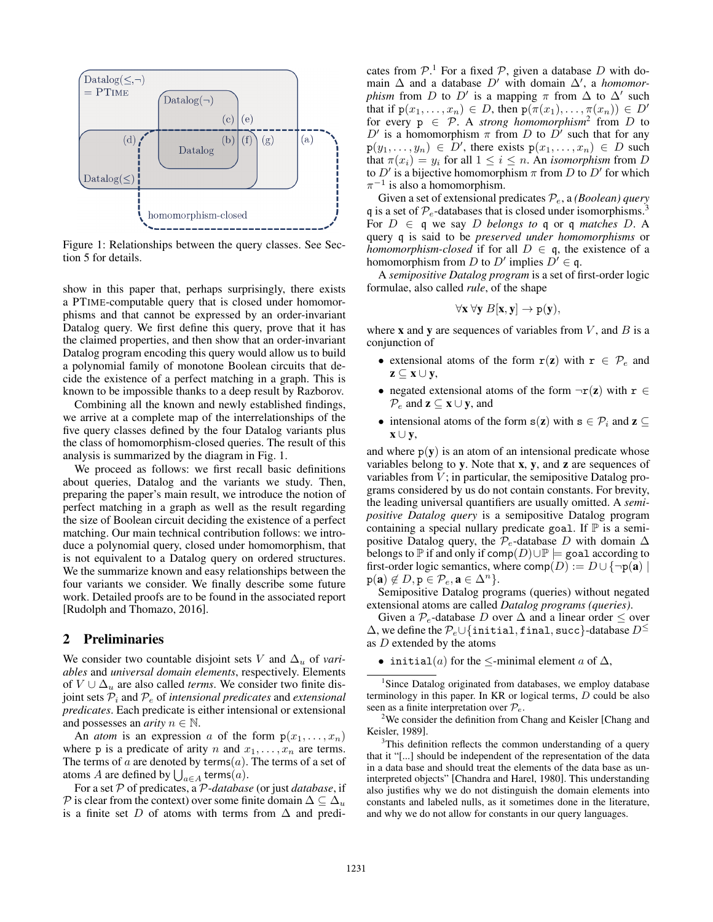

Figure 1: Relationships between the query classes. See Section 5 for details.

show in this paper that, perhaps surprisingly, there exists a PTIME-computable query that is closed under homomorphisms and that cannot be expressed by an order-invariant Datalog query. We first define this query, prove that it has the claimed properties, and then show that an order-invariant Datalog program encoding this query would allow us to build a polynomial family of monotone Boolean circuits that decide the existence of a perfect matching in a graph. This is known to be impossible thanks to a deep result by Razborov.

Combining all the known and newly established findings, we arrive at a complete map of the interrelationships of the five query classes defined by the four Datalog variants plus the class of homomorphism-closed queries. The result of this analysis is summarized by the diagram in Fig. 1.

We proceed as follows: we first recall basic definitions about queries, Datalog and the variants we study. Then, preparing the paper's main result, we introduce the notion of perfect matching in a graph as well as the result regarding the size of Boolean circuit deciding the existence of a perfect matching. Our main technical contribution follows: we introduce a polynomial query, closed under homomorphism, that is not equivalent to a Datalog query on ordered structures. We the summarize known and easy relationships between the four variants we consider. We finally describe some future work. Detailed proofs are to be found in the associated report [Rudolph and Thomazo, 2016].

## 2 Preliminaries

We consider two countable disjoint sets *V* and  $\Delta_u$  of *variables* and *universal domain elements*, respectively. Elements of  $V \cup \Delta_u$  are also called *terms*. We consider two finite disjoint sets *P<sup>i</sup>* and *P<sup>e</sup>* of *intensional predicates* and *extensional predicates*. Each predicate is either intensional or extensional and possesses an *arity*  $n \in \mathbb{N}$ .

An *atom* is an expression *a* of the form  $p(x_1, \ldots, x_n)$ where p is a predicate of arity *n* and  $x_1, \ldots, x_n$  are terms. The terms of  $a$  are denoted by terms $(a)$ . The terms of a set of atoms *A* are defined by  $\bigcup_{a \in A}$  terms $(a)$ .

For a set *P* of predicates, a *P*-*database* (or just *database*, if *P* is clear from the context) over some finite domain  $\Delta \subseteq \Delta_u$ is a finite set *D* of atoms with terms from  $\Delta$  and predi-

cates from  $P^1$ . For a fixed  $P$ , given a database *D* with domain  $\Delta$  and a database D' with domain  $\Delta'$ , a *homomorphism* from *D* to *D'* is a mapping  $\pi$  from  $\Delta$  to  $\Delta'$  such that if  $p(x_1,...,x_n) \in D$ , then  $p(\pi(x_1),...,\pi(x_n)) \in D'$ for every  $p \in \mathcal{P}$ . A *strong homomorphism*<sup>2</sup> from *D* to  $D'$  is a homomorphism  $\pi$  from *D* to  $D'$  such that for any  $p(y_1, \ldots, y_n) \in D'$ , there exists  $p(x_1, \ldots, x_n) \in D$  such that  $\pi(x_i) = y_i$  for all  $1 \leq i \leq n$ . An *isomorphism* from *D* to  $D'$  is a bijective homomorphism  $\pi$  from  $D$  to  $D'$  for which  $\pi^{-1}$  is also a homomorphism.

Given a set of extensional predicates *Pe*, a *(Boolean) query* q is a set of  $P_e$ -databases that is closed under isomorphisms.<sup>3</sup> For  $D \in \mathfrak{q}$  we say  $D$  *belongs to*  $\mathfrak{q}$  or  $\mathfrak{q}$  *matches*  $D$ . A query q is said to be *preserved under homomorphisms* or *homomorphism-closed* if for all  $D \in \mathfrak{q}$ , the existence of a homomorphism from *D* to *D'* implies  $D' \in \mathfrak{q}$ .

A *semipositive Datalog program* is a set of first-order logic formulae, also called *rule*, of the shape

$$
\forall \mathbf{x} \ \forall \mathbf{y} \ B[\mathbf{x},\mathbf{y}] \rightarrow p(\mathbf{y}),
$$

where **x** and **y** are sequences of variables from  $V$ , and  $B$  is a conjunction of

- extensional atoms of the form  $r(z)$  with  $r \in \mathcal{P}_e$  and  $z \subseteq x \cup y$ ,
- negated extensional atoms of the form  $\neg$ r(z) with r  $\in$  $\mathcal{P}_e$  and  $\mathbf{z} \subseteq \mathbf{x} \cup \mathbf{y}$ , and
- intensional atoms of the form  $s(z)$  with  $s \in \mathcal{P}_i$  and  $z \subseteq$  $\mathbf{x} \cup \mathbf{v}$ ,

and where  $p(y)$  is an atom of an intensional predicate whose variables belong to  $y$ . Note that  $x$ ,  $y$ , and  $z$  are sequences of variables from *V* ; in particular, the semipositive Datalog programs considered by us do not contain constants. For brevity, the leading universal quantifiers are usually omitted. A *semipositive Datalog query* is a semipositive Datalog program containing a special nullary predicate goal. If  $\mathbb P$  is a semipositive Datalog query, the  $\mathcal{P}_e$ -database *D* with domain  $\Delta$ belongs to  $\mathbb P$  if and only if  $\text{comp}(D) \cup \mathbb P$   $\models$  goal according to first-order logic semantics, where  $\text{comp}(D) := D \cup {\neg p(\mathbf{a})}$  $p(\mathbf{a}) \notin D, p \in \mathcal{P}_e, \mathbf{a} \in \Delta^n$ .

Semipositive Datalog programs (queries) without negated extensional atoms are called *Datalog programs (queries)*.

Given a  $P_e$ -database *D* over  $\Delta$  and a linear order  $\leq$  over  $\Delta$ , we define the  $\mathcal{P}_e \cup \{\text{initial}, \text{final}, \text{succ}\}$ -database  $D^{\leq}$ as *D* extended by the atoms

<sup>1</sup>Since Datalog originated from databases, we employ database terminology in this paper. In KR or logical terms, *D* could be also seen as a finite interpretation over  $\mathcal{P}_e$ .

 $2$ We consider the definition from Chang and Keisler [Chang and Keisler, 1989].

 $3$ This definition reflects the common understanding of a query that it "[...] should be independent of the representation of the data in a data base and should treat the elements of the data base as uninterpreted objects" [Chandra and Harel, 1980]. This understanding also justifies why we do not distinguish the domain elements into constants and labeled nulls, as it sometimes done in the literature, and why we do not allow for constants in our query languages.

<sup>•</sup> initial(*a*) for the  $\le$ -minimal element *a* of  $\Delta$ ,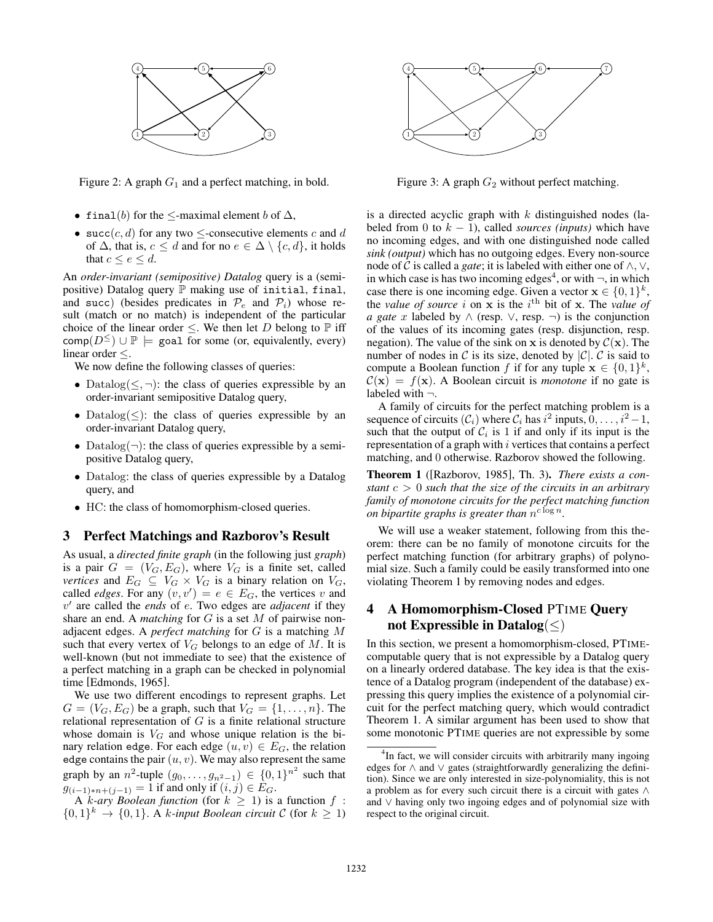

Figure 2: A graph  $G_1$  and a perfect matching, in bold.

- final(*b*) for the  $\le$ -maximal element *b* of  $\Delta$ ,
- succ(*c*, *d*) for any two  $\leq$ -consecutive elements *c* and *d* of  $\Delta$ , that is,  $c \leq d$  and for no  $e \in \Delta \setminus \{c, d\}$ , it holds that  $c \leq e \leq d$ .

An *order-invariant (semipositive) Datalog* query is a (semipositive) Datalog query  $\mathbb P$  making use of initial, final, and succ) (besides predicates in  $\mathcal{P}_e$  and  $\mathcal{P}_i$ ) whose result (match or no match) is independent of the particular choice of the linear order  $\leq$ . We then let *D* belong to  $\mathbb P$  iff  $comp(D^{\le}) \cup \mathbb{P} \models$  goal for some (or, equivalently, every) linear order  $\leq$ .

We now define the following classes of queries:

- Datalog( $\leq$ ,  $\neg$ ): the class of queries expressible by an order-invariant semipositive Datalog query,
- Datalog( $\leq$ ): the class of queries expressible by an order-invariant Datalog query,
- Datalog( $\neg$ ): the class of queries expressible by a semipositive Datalog query,
- *•* Datalog: the class of queries expressible by a Datalog query, and
- HC: the class of homomorphism-closed queries.

## 3 Perfect Matchings and Razborov's Result

As usual, a *directed finite graph* (in the following just *graph*) is a pair  $G = (V_G, E_G)$ , where  $V_G$  is a finite set, called *vertices* and  $E_G \subseteq V_G \times V_G$  is a binary relation on  $V_G$ , called *edges*. For any  $(v, v') = e \in E_G$ , the vertices *v* and  $v'$  are called the *ends* of *e*. Two edges are *adjacent* if they share an end. A *matching* for *G* is a set *M* of pairwise nonadjacent edges. A *perfect matching* for *G* is a matching *M* such that every vertex of  $V_G$  belongs to an edge of M. It is well-known (but not immediate to see) that the existence of a perfect matching in a graph can be checked in polynomial time [Edmonds, 1965].

We use two different encodings to represent graphs. Let  $G = (V_G, E_G)$  be a graph, such that  $V_G = \{1, \ldots, n\}$ . The relational representation of *G* is a finite relational structure whose domain is  $V_G$  and whose unique relation is the binary relation edge. For each edge  $(u, v) \in E_G$ , the relation edge contains the pair  $(u, v)$ . We may also represent the same graph by an *n*<sup>2</sup>-tuple  $(g_0, ..., g_{n^2-1}) \in \{0, 1\}^{n^2}$  such that  $g_{(i-1)*n+(j-1)} = 1$  if and only if  $(i, j) \in E_G$ .

A *k*-ary Boolean function (for  $k \geq 1$ ) is a function  $f$ :  $\{0,1\}^k \rightarrow \{0,1\}$ . A *k-input Boolean circuit*  $C$  (for  $k \geq 1$ )



Figure 3: A graph  $G_2$  without perfect matching.

is a directed acyclic graph with *k* distinguished nodes (labeled from 0 to  $k - 1$ ), called *sources (inputs)* which have no incoming edges, and with one distinguished node called *sink (output)* which has no outgoing edges. Every non-source node of C is called a *gate*; it is labeled with either one of  $\wedge$ ,  $\vee$ , in which case is has two incoming edges<sup>4</sup>, or with  $\neg$ , in which case there is one incoming edge. Given a vector  $x \in \{0, 1\}^k$ , the *value of source i* on  $x$  is the *i*<sup>th</sup> bit of  $x$ . The *value of a gate x* labeled by  $\land$  (resp.  $\lor$ , resp.  $\neg$ ) is the conjunction of the values of its incoming gates (resp. disjunction, resp. negation). The value of the sink on x is denoted by  $C(\mathbf{x})$ . The number of nodes in C is its size, denoted by  $|C|$ . C is said to compute a Boolean function *f* if for any tuple  $x \in \{0, 1\}^k$ ,  $C(\mathbf{x}) = f(\mathbf{x})$ . A Boolean circuit is *monotone* if no gate is labeled with *¬*.

A family of circuits for the perfect matching problem is a sequence of circuits  $(C_i)$  where  $C_i$  has  $i^2$  inputs,  $0, \ldots, i^2 - 1$ , such that the output of  $C_i$  is 1 if and only if its input is the representation of a graph with *i* vertices that contains a perfect matching, and 0 otherwise. Razborov showed the following.

Theorem 1 ([Razborov, 1985], Th. 3). *There exists a constant c >* 0 *such that the size of the circuits in an arbitrary family of monotone circuits for the perfect matching function on bipartite graphs is greater than*  $n^{c \log n}$ *.* 

We will use a weaker statement, following from this theorem: there can be no family of monotone circuits for the perfect matching function (for arbitrary graphs) of polynomial size. Such a family could be easily transformed into one violating Theorem 1 by removing nodes and edges.

# 4 A Homomorphism-Closed PTIME Query not Expressible in Datalog( $\leq$ )

In this section, we present a homomorphism-closed, PTIMEcomputable query that is not expressible by a Datalog query on a linearly ordered database. The key idea is that the existence of a Datalog program (independent of the database) expressing this query implies the existence of a polynomial circuit for the perfect matching query, which would contradict Theorem 1. A similar argument has been used to show that some monotonic PTIME queries are not expressible by some

<sup>&</sup>lt;sup>4</sup>In fact, we will consider circuits with arbitrarily many ingoing edges for  $\wedge$  and  $\vee$  gates (straightforwardly generalizing the definition). Since we are only interested in size-polynomiality, this is not a problem as for every such circuit there is a circuit with gates  $\wedge$ and  $\vee$  having only two ingoing edges and of polynomial size with respect to the original circuit.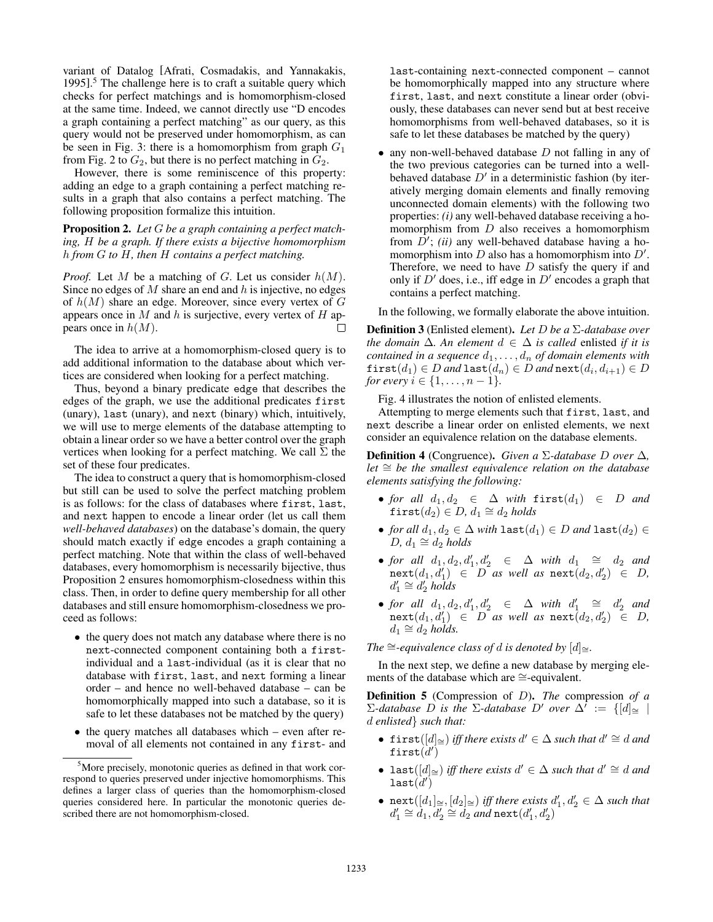variant of Datalog [Afrati, Cosmadakis, and Yannakakis, 1995].<sup>5</sup> The challenge here is to craft a suitable query which checks for perfect matchings and is homomorphism-closed at the same time. Indeed, we cannot directly use "D encodes a graph containing a perfect matching" as our query, as this query would not be preserved under homomorphism, as can be seen in Fig. 3: there is a homomorphism from graph *G*<sup>1</sup> from Fig. 2 to  $G_2$ , but there is no perfect matching in  $G_2$ .

However, there is some reminiscence of this property: adding an edge to a graph containing a perfect matching results in a graph that also contains a perfect matching. The following proposition formalize this intuition.

Proposition 2. *Let G be a graph containing a perfect matching, H be a graph. If there exists a bijective homomorphism h from G to H, then H contains a perfect matching.*

*Proof.* Let *M* be a matching of *G*. Let us consider *h*(*M*). Since no edges of *M* share an end and *h* is injective, no edges of *h*(*M*) share an edge. Moreover, since every vertex of *G* appears once in *M* and *h* is surjective, every vertex of *H* appears once in *h*(*M*). П

The idea to arrive at a homomorphism-closed query is to add additional information to the database about which vertices are considered when looking for a perfect matching.

Thus, beyond a binary predicate edge that describes the edges of the graph, we use the additional predicates first (unary), last (unary), and next (binary) which, intuitively, we will use to merge elements of the database attempting to obtain a linear order so we have a better control over the graph vertices when looking for a perfect matching. We call  $\Sigma$  the set of these four predicates.

The idea to construct a query that is homomorphism-closed but still can be used to solve the perfect matching problem is as follows: for the class of databases where first, last, and next happen to encode a linear order (let us call them *well-behaved databases*) on the database's domain, the query should match exactly if edge encodes a graph containing a perfect matching. Note that within the class of well-behaved databases, every homomorphism is necessarily bijective, thus Proposition 2 ensures homomorphism-closedness within this class. Then, in order to define query membership for all other databases and still ensure homomorphism-closedness we proceed as follows:

- the query does not match any database where there is no next-connected component containing both a firstindividual and a last-individual (as it is clear that no database with first, last, and next forming a linear order – and hence no well-behaved database – can be homomorphically mapped into such a database, so it is safe to let these databases not be matched by the query)
- the query matches all databases which even after removal of all elements not contained in any first- and

last-containing next-connected component – cannot be homomorphically mapped into any structure where first, last, and next constitute a linear order (obviously, these databases can never send but at best receive homomorphisms from well-behaved databases, so it is safe to let these databases be matched by the query)

*•* any non-well-behaved database *D* not falling in any of the two previous categories can be turned into a wellbehaved database  $D'$  in a deterministic fashion (by iteratively merging domain elements and finally removing unconnected domain elements) with the following two properties: *(i)* any well-behaved database receiving a homomorphism from *D* also receives a homomorphism from *D'*; *(ii)* any well-behaved database having a homomorphism into  $D$  also has a homomorphism into  $D'$ . Therefore, we need to have *D* satisfy the query if and only if  $D'$  does, i.e., iff edge in  $D'$  encodes a graph that contains a perfect matching.

In the following, we formally elaborate the above intuition.

**Definition 3** (Enlisted element). Let  $D$  be a  $\Sigma$ -database over *the domain*  $\Delta$ *. An element*  $d \in \Delta$  *is called* enlisted *if it is contained in a sequence*  $d_1, \ldots, d_n$  *of domain elements with* first $(d_1) \in D$  *and* last $(d_n) \in D$  *and* next $(d_i, d_{i+1}) \in D$ *for every*  $i \in \{1, ..., n-1\}$ *.* 

Fig. 4 illustrates the notion of enlisted elements.

Attempting to merge elements such that first, last, and next describe a linear order on enlisted elements, we next consider an equivalence relation on the database elements.

**Definition 4** (Congruence). *Given a*  $\Sigma$ -database *D* over  $\Delta$ ,  $let \cong be$  the smallest equivalence relation on the database *elements satisfying the following:*

- for all  $d_1, d_2 \in \Delta$  with  $first(d_1) \in D$  and  $first(d_2) \in D, d_1 \cong d_2$  *holds*
- *for all*  $d_1, d_2 \in \Delta$  *with* last $(d_1) \in D$  *and* last $(d_2) \in D$  $D, d_1 \cong d_2$  *holds*
- *for all*  $d_1, d_2, d'_1, d'_2 \in \Delta$  *with*  $d_1 \cong d_2$  *and*  $\text{next}(d_1, d'_1) \in D$  *as well as*  $\text{next}(d_2, d'_2) \in D$ ,  $d_1' \cong d_2'$  *holds*
- *for all*  $d_1, d_2, d'_1, d'_2 \in \Delta$  *with*  $d'_1 \cong d'_2$  *and*  $\texttt{next}(d_1, d'_1) \in D \text{ as well as } \texttt{next}(d_2, d'_2) \in D,$  $d_1 \cong d_2$  *holds.*

*The*  $\cong$ *-equivalence class of d is denoted by*  $[d]_{\cong}$ *.* 

In the next step, we define a new database by merging elements of the database which are  $\cong$ -equivalent.

Definition 5 (Compression of *D*). *The* compression *of a*  $\Sigma$ -database *D* is the  $\Sigma$ -database *D'* over  $\Delta' := \{[d] \cong \emptyset\}$ *d enlisted} such that:*

- first $([d]_{\cong})$  *iff there exists*  $d' \in \Delta$  *such that*  $d' \cong d$  *and*  $\mathtt{first}(d')$
- last $([d]_{\cong})$  *iff there exists*  $d' \in \Delta$  *such that*  $d' \cong d$  *and*  $\mathtt{last}(d')$
- $\text{next}([d_1]_{\cong}, [d_2]_{\cong})$  *iff there exists*  $d'_1, d'_2 \in \Delta$  such that  $d_1' \cong d_1, d_2' \cong d_2$  *and*  $\texttt{next}(d_1', d_2')$

<sup>&</sup>lt;sup>5</sup>More precisely, monotonic queries as defined in that work correspond to queries preserved under injective homomorphisms. This defines a larger class of queries than the homomorphism-closed queries considered here. In particular the monotonic queries described there are not homomorphism-closed.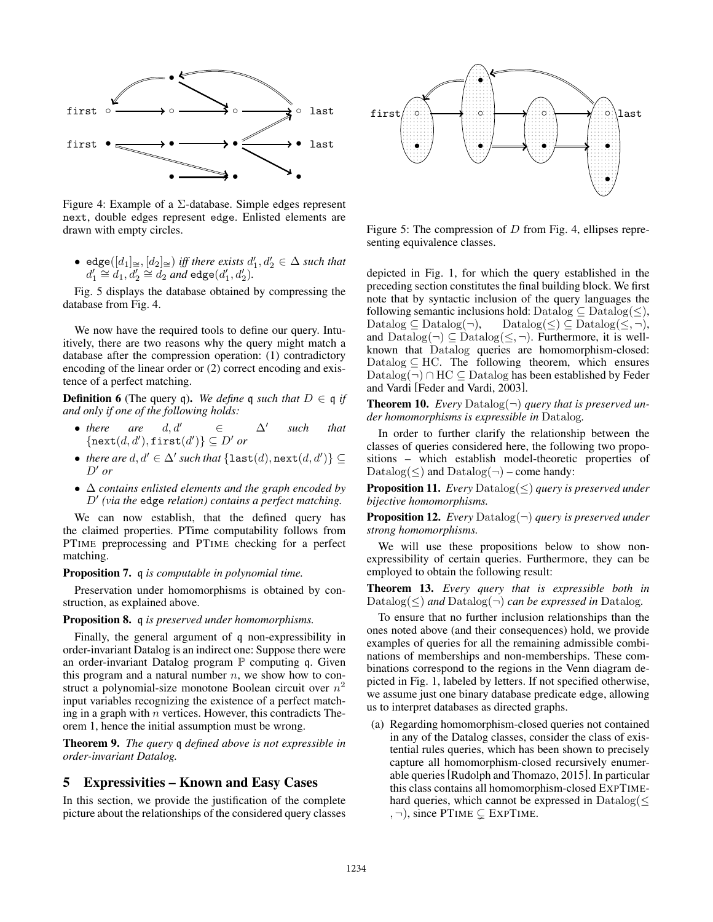

Figure 4: Example of a  $\Sigma$ -database. Simple edges represent next, double edges represent edge. Enlisted elements are drawn with empty circles.

• edge( $[d_1] \cong [d_2] \cong j$  *iff there exists*  $d'_1, d'_2 \in \Delta$  *such that*  $d'_1 \cong d_1, d'_2 \cong d_2$  *and* edge( $d'_1, d'_2$ )*.* 

Fig. 5 displays the database obtained by compressing the database from Fig. 4.

We now have the required tools to define our query. Intuitively, there are two reasons why the query might match a database after the compression operation: (1) contradictory encoding of the linear order or (2) correct encoding and existence of a perfect matching.

**Definition 6** (The query q). We define q such that  $D \in \mathfrak{q}$  if *and only if one of the following holds:*

- *there* are  $d, d' \in \Delta'$  such that  $\{ \texttt{next}(d, d'), \texttt{first}(d') \} \subseteq D'$  *or*
- *there are*  $d, d' \in \Delta'$  *such that*  $\{\texttt{last}(d), \texttt{next}(d, d')\} \subseteq$  $D'$  *or*
- *• contains enlisted elements and the graph encoded by D*<sup>0</sup> *(via the* edge *relation) contains a perfect matching.*

We can now establish, that the defined query has the claimed properties. PTime computability follows from PTIME preprocessing and PTIME checking for a perfect matching.

#### Proposition 7. q *is computable in polynomial time.*

Preservation under homomorphisms is obtained by construction, as explained above.

#### Proposition 8. q *is preserved under homomorphisms.*

Finally, the general argument of q non-expressibility in order-invariant Datalog is an indirect one: Suppose there were an order-invariant Datalog program  $\mathbb P$  computing q. Given this program and a natural number *n*, we show how to construct a polynomial-size monotone Boolean circuit over *n*<sup>2</sup> input variables recognizing the existence of a perfect matching in a graph with *n* vertices. However, this contradicts Theorem 1, hence the initial assumption must be wrong.

Theorem 9. *The query* q *defined above is not expressible in order-invariant Datalog.*

## 5 Expressivities – Known and Easy Cases

In this section, we provide the justification of the complete picture about the relationships of the considered query classes



Figure 5: The compression of *D* from Fig. 4, ellipses representing equivalence classes.

depicted in Fig. 1, for which the query established in the preceding section constitutes the final building block. We first note that by syntactic inclusion of the query languages the following semantic inclusions hold: Datalog  $\subseteq$  Datalog $(\le)$ , Datalog  $(\le)$ , Datalog  $(\le, \neg)$ ,  $\text{Database}(\leq) \subseteq \text{Database}(\leq, \neg),$ and  $\text{Database}(\neg) \subseteq \text{Database}(\leq, \neg)$ . Furthermore, it is wellknown that Datalog queries are homomorphism-closed: Datalog  $\subseteq$  HC. The following theorem, which ensures  $\text{Database}(\neg) \cap \text{HC} \subseteq \text{Database}$  has been established by Feder and Vardi [Feder and Vardi, 2003].

**Theorem 10.** *Every* Datalog( $\neg$ ) *query that is preserved under homomorphisms is expressible in* Datalog*.*

In order to further clarify the relationship between the classes of queries considered here, the following two propositions – which establish model-theoretic properties of Datalog( $\leq$ ) and Datalog( $\neg$ ) – come handy:

**Proposition 11.** *Every* Datalog(<) *query is preserved under bijective homomorphisms.*

Proposition 12. *Every* Datalog(*¬*) *query is preserved under strong homomorphisms.*

We will use these propositions below to show nonexpressibility of certain queries. Furthermore, they can be employed to obtain the following result:

Theorem 13. *Every query that is expressible both in* Datalog( $\leq$ ) *and* Datalog( $\neg$ ) *can be expressed in* Datalog.

To ensure that no further inclusion relationships than the ones noted above (and their consequences) hold, we provide examples of queries for all the remaining admissible combinations of memberships and non-memberships. These combinations correspond to the regions in the Venn diagram depicted in Fig. 1, labeled by letters. If not specified otherwise, we assume just one binary database predicate edge, allowing us to interpret databases as directed graphs.

(a) Regarding homomorphism-closed queries not contained in any of the Datalog classes, consider the class of existential rules queries, which has been shown to precisely capture all homomorphism-closed recursively enumerable queries[Rudolph and Thomazo, 2015]. In particular this class contains all homomorphism-closed EXPTIMEhard queries, which cannot be expressed in  $\text{Database}(\leq)$  $, \neg$ ), since PTIME  $\subsetneq$  EXPTIME.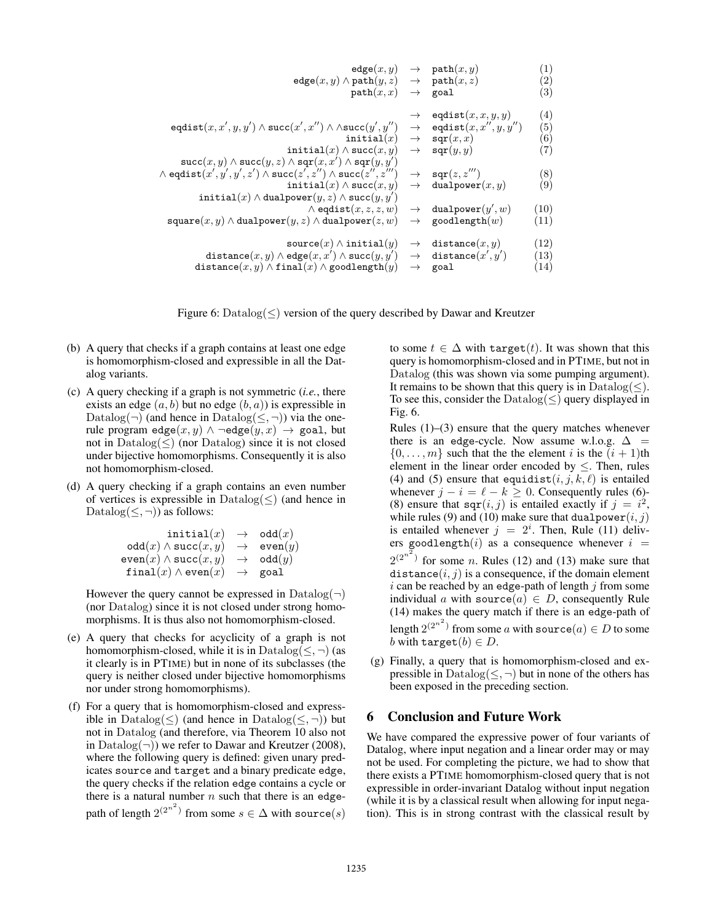| edge(x, y)                                                                             | $\rightarrow$ | path(x, y)                  | $\left( 1\right)$ |
|----------------------------------------------------------------------------------------|---------------|-----------------------------|-------------------|
| $edge(x, y) \wedge path(y, z)$                                                         |               | $\rightarrow$ path $(x, z)$ | $\left( 2\right)$ |
| path(x, x)                                                                             | $\rightarrow$ | goal                        | $\left( 3\right)$ |
|                                                                                        |               |                             |                   |
|                                                                                        |               | eqdist $(x, x, y, y)$       | $\left( 4\right)$ |
| eqdist $(x, x', y, y') \wedge$ succ $(x', x'') \wedge \wedge$ succ $(y', y'')$         | $\rightarrow$ | eqdist $(x, x'', y, y'')$   | $\left( 5\right)$ |
| initial $(x)$                                                                          | $\rightarrow$ | sqr(x,x)                    | $\left( 6\right)$ |
| initial(x) $\wedge$ succ(x, y)                                                         | $\rightarrow$ | $\texttt{sqr}(y, y)$        | (7)               |
| $\verb+succ+(x,y)\wedge\verb+succ+(y,z)\wedge\verb+sqrt+(x,x')\wedge\verb+sqrt+(y,y')$ |               |                             |                   |
| $\wedge$ eqdist $(x', y', y', z') \wedge$ succ $(z', z'') \wedge$ succ $(z'', z''')$   | $\rightarrow$ | sqr(z, z''')                | (8)               |
| initial(x) $\wedge$ succ(x, y)                                                         | $\rightarrow$ | dualpower $(x, y)$          | (9)               |
| initial(x) $\wedge$ dualpower(y, z) $\wedge$ succ(y, y')                               |               |                             |                   |
| $\wedge$ eqdist $(x, z, z, w)$                                                         | $\rightarrow$ | dualpower $(y', w)$         | (10)              |
| square $(x, y) \wedge$ dualpower $(y, z) \wedge$ dualpower $(z, w)$                    | $\rightarrow$ | goodlength $(w)$            | (11)              |
|                                                                                        |               |                             |                   |
| $source(x) \wedge initial(y)$                                                          | $\rightarrow$ | distance(x, y)              | (12)              |
| distance $(x, y) \wedge$ edge $(x, x') \wedge$ succ $(y, y')$                          | $\rightarrow$ | distance $(x', y')$         | (13)              |
| distance $(x, y) \wedge \text{final}(x) \wedge \text{goodlength}(y)$                   | $\rightarrow$ | goal                        | (14)              |
|                                                                                        |               |                             |                   |

Figure 6:  $\text{Database}(\le)$  version of the query described by Dawar and Kreutzer

- (b) A query that checks if a graph contains at least one edge is homomorphism-closed and expressible in all the Datalog variants.
- (c) A query checking if a graph is not symmetric (*i.e.*, there exists an edge (*a, b*) but no edge (*b, a*)) is expressible in Datalog( $\neg$ ) (and hence in Datalog( $\leq$ , $\neg$ )) via the onerule program edge $(x, y) \wedge \neg$ edge $(y, x) \rightarrow$  goal, but not in  $\text{Database}(\le)$  (nor  $\text{Database}$ ) since it is not closed under bijective homomorphisms. Consequently it is also not homomorphism-closed.
- (d) A query checking if a graph contains an even number of vertices is expressible in  $\text{Database}(\le)$  (and hence in Datalog( $\leq$ ,  $\neg$ )) as follows:

| initial $(x)$                                | $\rightarrow$ odd $(x)$  |
|----------------------------------------------|--------------------------|
| $odd(x) \wedge succ(x,y)$                    | $\rightarrow$ even $(y)$ |
| $\mathtt{even}(x) \wedge \mathtt{succ}(x,y)$ | $\rightarrow$ odd $(y)$  |
| final $(x) \wedge$ even $(x)$                | $\rightarrow$ goal       |
|                                              |                          |

However the query cannot be expressed in  $\text{Database}(\neg)$ (nor Datalog) since it is not closed under strong homomorphisms. It is thus also not homomorphism-closed.

- (e) A query that checks for acyclicity of a graph is not homomorphism-closed, while it is in  $\text{Database}(\leq, \neg)$  (as it clearly is in PTIME) but in none of its subclasses (the query is neither closed under bijective homomorphisms nor under strong homomorphisms).
- (f) For a query that is homomorphism-closed and expressible in Datalog( $\leq$ ) (and hence in Datalog( $\leq$ ,  $\neg$ )) but not in Datalog (and therefore, via Theorem 10 also not in  $\text{Database}(\neg)$ ) we refer to Dawar and Kreutzer (2008), where the following query is defined: given unary predicates source and target and a binary predicate edge, the query checks if the relation edge contains a cycle or there is a natural number  $n$  such that there is an edgepath of length  $2^{(2^{n^2})}$  from some  $s \in \Delta$  with source(*s*)

to some  $t \in \Delta$  with target(*t*). It was shown that this query is homomorphism-closed and in PTIME, but not in Datalog (this was shown via some pumping argument). It remains to be shown that this query is in  $\text{Database}(<)$ . To see this, consider the  $\text{Database}(<)$  query displayed in Fig. 6.

Rules (1)–(3) ensure that the query matches whenever there is an edge-cycle. Now assume w.l.o.g.  $\Delta$  =  $\{0, \ldots, m\}$  such that the the element *i* is the  $(i + 1)$ th element in the linear order encoded by  $\leq$ . Then, rules (4) and (5) ensure that equidist( $i, j, k, \ell$ ) is entailed whenever  $j - i = \ell - k \geq 0$ . Consequently rules (6)-(8) ensure that  $\text{sqr}(i, j)$  is entailed exactly if  $j = i^2$ , while rules (9) and (10) make sure that dualpower $(i, j)$ is entailed whenever  $j = 2^i$ . Then, Rule (11) delivers goodlength $(i)$  as a consequence whenever  $i =$  $2^{(2^{n^2})}$  for some *n*. Rules (12) and (13) make sure that distance $(i, j)$  is a consequence, if the domain element *i* can be reached by an edge-path of length *j* from some individual *a* with source(*a*)  $\in$  *D*, consequently Rule (14) makes the query match if there is an edge-path of length  $2^{(2^{n^2})}$  from some *a* with source $(a) \in D$  to some *b* with target $(b) \in D$ .

(g) Finally, a query that is homomorphism-closed and expressible in  $\text{Database}(\leq, \neg)$  but in none of the others has been exposed in the preceding section.

## 6 Conclusion and Future Work

We have compared the expressive power of four variants of Datalog, where input negation and a linear order may or may not be used. For completing the picture, we had to show that there exists a PTIME homomorphism-closed query that is not expressible in order-invariant Datalog without input negation (while it is by a classical result when allowing for input negation). This is in strong contrast with the classical result by